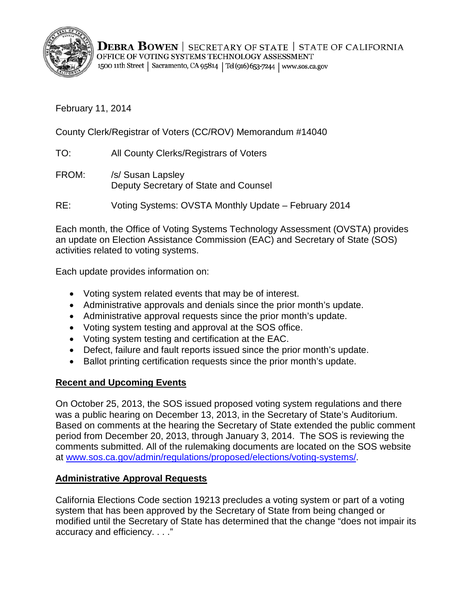

**DEBRA BOWEN** | SECRETARY OF STATE | STATE OF CALIFORNIA OFFICE OF VOTING SYSTEMS TECHNOLOGY ASSESSMENT 1500 11th Street | Sacramento, CA 95814 | Tel (916) 653-7244 | www.sos.ca.gov

February 11, 2014

County Clerk/Registrar of Voters (CC/ROV) Memorandum #14040

- TO: All County Clerks/Registrars of Voters
- FROM: /s/ Susan Lapsley Deputy Secretary of State and Counsel

RE: Voting Systems: OVSTA Monthly Update – February 2014

Each month, the Office of Voting Systems Technology Assessment (OVSTA) provides an update on Election Assistance Commission (EAC) and Secretary of State (SOS) activities related to voting systems.

Each update provides information on:

- Voting system related events that may be of interest.
- Administrative approvals and denials since the prior month's update.
- Administrative approval requests since the prior month's update.
- Voting system testing and approval at the SOS office.
- Voting system testing and certification at the EAC.
- Defect, failure and fault reports issued since the prior month's update.
- Ballot printing certification requests since the prior month's update.

### **Recent and Upcoming Events**

On October 25, 2013, the SOS issued proposed voting system regulations and there was a public hearing on December 13, 2013, in the Secretary of State's Auditorium. Based on comments at the hearing the Secretary of State extended the public comment period from December 20, 2013, through January 3, 2014. The SOS is reviewing the comments submitted. All of the rulemaking documents are located on the SOS website at [www.sos.ca.gov/admin/regulations/proposed/elections/voting-systems/.](http://www.sos.ca.gov/admin/regulations/proposed/elections/voting-systems/)

### **Administrative Approval Requests**

California Elections Code section 19213 precludes a voting system or part of a voting system that has been approved by the Secretary of State from being changed or modified until the Secretary of State has determined that the change "does not impair its accuracy and efficiency. . . ."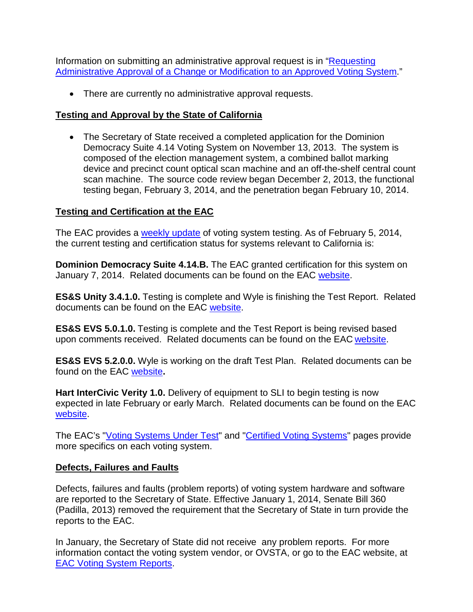Information on submitting an administrative approval request is in ["Requesting](http://www.sos.ca.gov/voting-systems/cert-and-approval/vsysapproval/admin-approval-requirements2012.pdf)  [Administrative Approval of a Change or Modification to an Approved Voting System.](http://www.sos.ca.gov/voting-systems/cert-and-approval/vsysapproval/admin-approval-requirements2012.pdf)"

• There are currently no administrative approval requests.

### **Testing and Approval by the State of California**

• The Secretary of State received a completed application for the Dominion Democracy Suite 4.14 Voting System on November 13, 2013. The system is composed of the election management system, a combined ballot marking device and precinct count optical scan machine and an off-the-shelf central count scan machine. The source code review began December 2, 2013, the functional testing began, February 3, 2014, and the penetration began February 10, 2014.

## **Testing and Certification at the EAC**

The EAC provides a [weekly update](http://www.eac.gov/blogs/voting_system_testing_update_2514/) of voting system testing. As of February 5, 2014, the current testing and certification status for systems relevant to California is:

**Dominion Democracy Suite 4.14.B.** The EAC granted certification for this system on January 7, 2014. Related documents can be found on the EAC [website.](http://www.eac.gov/testing_and_certification/voting_systems_under_test.aspx)

**ES&S Unity 3.4.1.0.** Testing is complete and Wyle is finishing the Test Report. Related documents can be found on the EAC [website.](http://www.eac.gov/testing_and_certification/voting_systems_under_test.aspx)

**ES&S EVS 5.0.1.0.** Testing is complete and the Test Report is being revised based upon comments received. Related documents can be found on the EAC [website.](http://www.eac.gov/testing_and_certification/voting_systems_under_test.aspx)

**ES&S EVS 5.2.0.0.** Wyle is working on the draft Test Plan. Related documents can be found on the EAC [website](http://www.eac.gov/testing_and_certification/voting_systems_under_test.aspx)**.**

**Hart InterCivic Verity 1.0.** Delivery of equipment to SLI to begin testing is now expected in late February or early March. Related documents can be found on the EAC [website.](http://www.eac.gov/testing_and_certification/voting_systems_under_test.aspx)

The EAC's ["Voting Systems Under Test"](http://www.eac.gov/testing_and_certification/voting_systems_under_test.aspx) and ["Certified Voting Systems"](http://www.eac.gov/testing_and_certification/certified_voting_systems.aspx) pages provide more specifics on each voting system.

## **Defects, Failures and Faults**

Defects, failures and faults (problem reports) of voting system hardware and software are reported to the Secretary of State. Effective January 1, 2014, Senate Bill 360 (Padilla, 2013) removed the requirement that the Secretary of State in turn provide the reports to the EAC.

In January, the Secretary of State did not receive any problem reports. For more information contact the voting system vendor, or OVSTA, or go to the EAC website, at [EAC Voting System Reports.](http://www.eac.gov/testing_and_certification/voting_system_reports.aspx)